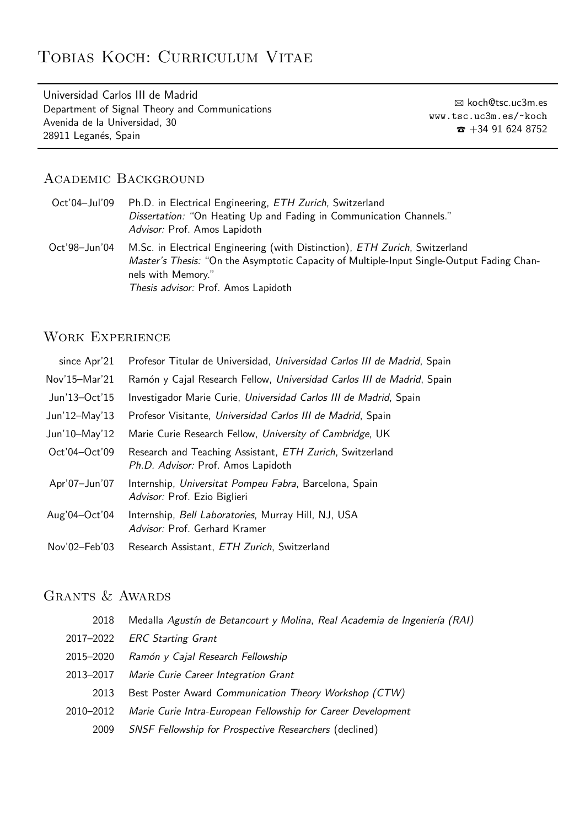# Tobias Koch: Curriculum Vitae

Universidad Carlos III de Madrid Department of Signal Theory and Communications Avenida de la Universidad, 30 28911 Leganés, Spain

B koch@tsc.uc3m.es www.tsc.uc3m.es/~koch  $\hat{\mathbf{z}}$  +34 91 624 8752

## Academic Background

| Oct'04-Jul'09 Ph.D. in Electrical Engineering, <i>ETH Zurich</i> , Switzerland |
|--------------------------------------------------------------------------------|
| Dissertation: "On Heating Up and Fading in Communication Channels."            |
| Advisor: Prof. Amos Lapidoth                                                   |

Oct'98–Jun'04 M.Sc. in Electrical Engineering (with Distinction), ETH Zurich, Switzerland Master's Thesis: "On the Asymptotic Capacity of Multiple-Input Single-Output Fading Channels with Memory." Thesis advisor: Prof. Amos Lapidoth

## WORK EXPERIENCE

| since Apr'21  | Profesor Titular de Universidad, Universidad Carlos III de Madrid, Spain                       |
|---------------|------------------------------------------------------------------------------------------------|
| Nov'15-Mar'21 | Ramón y Cajal Research Fellow, Universidad Carlos III de Madrid, Spain                         |
| Jun'13-Oct'15 | Investigador Marie Curie, Universidad Carlos III de Madrid, Spain                              |
| Jun'12-May'13 | Profesor Visitante, Universidad Carlos III de Madrid, Spain                                    |
| Jun'10-May'12 | Marie Curie Research Fellow, University of Cambridge, UK                                       |
| Oct'04-Oct'09 | Research and Teaching Assistant, ETH Zurich, Switzerland<br>Ph.D. Advisor: Prof. Amos Lapidoth |
| Apr'07-Jun'07 | Internship, Universitat Pompeu Fabra, Barcelona, Spain<br>Advisor: Prof. Ezio Biglieri         |
| Aug'04-Oct'04 | Internship, Bell Laboratories, Murray Hill, NJ, USA<br>Advisor: Prof. Gerhard Kramer           |
| Nov'02-Feb'03 | Research Assistant, ETH Zurich, Switzerland                                                    |

## GRANTS & AWARDS

| 2018      | Medalla Agustín de Betancourt y Molina, Real Academia de Ingeniería (RAI) |
|-----------|---------------------------------------------------------------------------|
| 2017-2022 | <b>ERC</b> Starting Grant                                                 |
| 2015-2020 | Ramón y Cajal Research Fellowship                                         |
| 2013-2017 | Marie Curie Career Integration Grant                                      |
| 2013      | Best Poster Award Communication Theory Workshop (CTW)                     |
| 2010-2012 | Marie Curie Intra-European Fellowship for Career Development              |
| 2009      | <b>SNSF Fellowship for Prospective Researchers (declined)</b>             |
|           |                                                                           |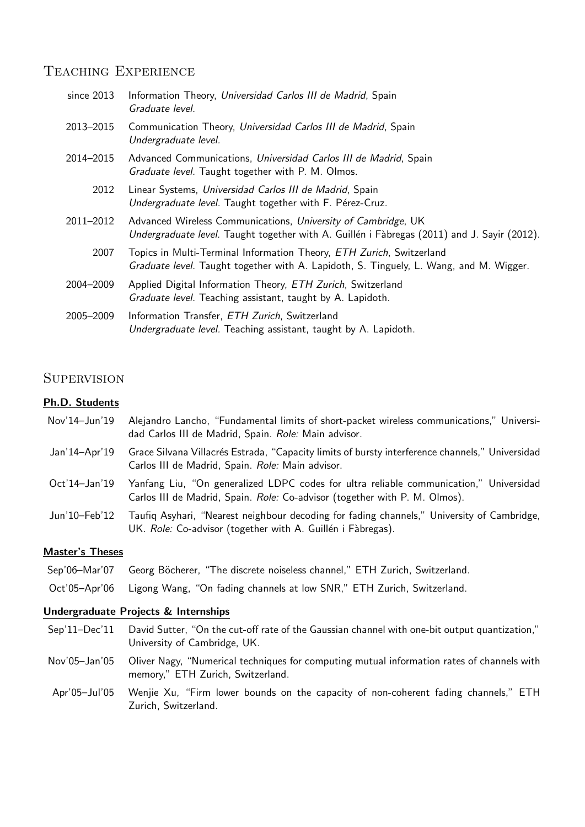## TEACHING EXPERIENCE

| since 2013 | Information Theory, Universidad Carlos III de Madrid, Spain<br>Graduate level.                                                                                 |
|------------|----------------------------------------------------------------------------------------------------------------------------------------------------------------|
| 2013-2015  | Communication Theory, Universidad Carlos III de Madrid, Spain<br>Undergraduate level.                                                                          |
| 2014–2015  | Advanced Communications, Universidad Carlos III de Madrid, Spain<br>Graduate level. Taught together with P. M. Olmos.                                          |
| 2012       | Linear Systems, Universidad Carlos III de Madrid, Spain<br>Undergraduate level. Taught together with F. Pérez-Cruz.                                            |
| 2011-2012  | Advanced Wireless Communications, University of Cambridge, UK<br>Undergraduate level. Taught together with A. Guillén i Fàbregas (2011) and J. Sayir (2012).   |
| 2007       | Topics in Multi-Terminal Information Theory, ETH Zurich, Switzerland<br>Graduate level. Taught together with A. Lapidoth, S. Tinguely, L. Wang, and M. Wigger. |
| 2004-2009  | Applied Digital Information Theory, ETH Zurich, Switzerland<br>Graduate level. Teaching assistant, taught by A. Lapidoth.                                      |
| 2005-2009  | Information Transfer, ETH Zurich, Switzerland<br>Undergraduate level. Teaching assistant, taught by A. Lapidoth.                                               |

## **SUPERVISION**

#### Ph.D. Students

- Nov'14–Jun'19 Alejandro Lancho, "Fundamental limits of short-packet wireless communications," Universidad Carlos III de Madrid, Spain. Role: Main advisor.
- Jan'14-Apr'19 Grace Silvana Villacrés Estrada, "Capacity limits of bursty interference channels," Universidad Carlos III de Madrid, Spain. Role: Main advisor.
- Oct'14–Jan'19 Yanfang Liu, "On generalized LDPC codes for ultra reliable communication," Universidad Carlos III de Madrid, Spain. Role: Co-advisor (together with P. M. Olmos).
- Jun'10–Feb'12 Taufiq Asyhari, "Nearest neighbour decoding for fading channels," University of Cambridge, UK. Role: Co-advisor (together with A. Guillén i Fàbregas).

#### Master's Theses

- Sep'06–Mar'07 Georg Böcherer, "The discrete noiseless channel," ETH Zurich, Switzerland.
- Oct'05–Apr'06 Ligong Wang, "On fading channels at low SNR," ETH Zurich, Switzerland.

#### Undergraduate Projects & Internships

- Sep'11–Dec'11 David Sutter, "On the cut-off rate of the Gaussian channel with one-bit output quantization," University of Cambridge, UK.
- Nov'05–Jan'05 Oliver Nagy, "Numerical techniques for computing mutual information rates of channels with memory," ETH Zurich, Switzerland.
- Apr'05–Jul'05 Wenjie Xu, "Firm lower bounds on the capacity of non-coherent fading channels," ETH Zurich, Switzerland.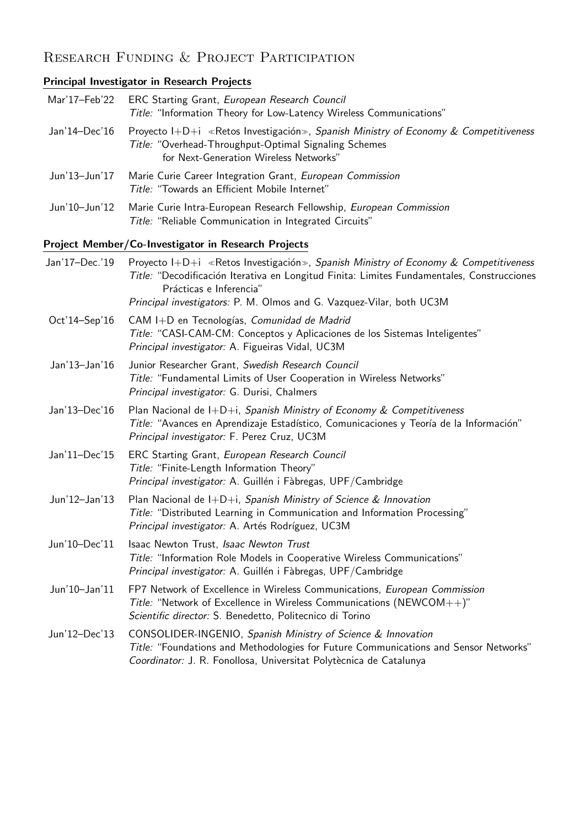# RESEARCH FUNDING & PROJECT PARTICIPATION

## Principal Investigator in Research Projects

| Mar'17-Feb'22  | ERC Starting Grant, European Research Council<br>Title: "Information Theory for Low-Latency Wireless Communications"                                                                                                       |
|----------------|----------------------------------------------------------------------------------------------------------------------------------------------------------------------------------------------------------------------------|
| Jan'14-Dec'16  | Proyecto $I+D+i$ «Retos Investigación», Spanish Ministry of Economy & Competitiveness<br>Title: "Overhead-Throughput-Optimal Signaling Schemes<br>for Next-Generation Wireless Networks"                                   |
| Jun'13-Jun'17  | Marie Curie Career Integration Grant, European Commission<br>Title: "Towards an Efficient Mobile Internet"                                                                                                                 |
| Jun'10-Jun'12  | Marie Curie Intra-European Research Fellowship, European Commission<br>Title: "Reliable Communication in Integrated Circuits"                                                                                              |
|                | Project Member/Co-Investigator in Research Projects                                                                                                                                                                        |
| Jan'17-Dec.'19 | Proyecto I+D+i «Retos Investigación», Spanish Ministry of Economy & Competitiveness<br>Title: "Decodificación Iterativa en Longitud Finita: Limites Fundamentales, Construcciones<br>Prácticas e Inferencia"               |
|                | Principal investigators: P. M. Olmos and G. Vazquez-Vilar, both UC3M                                                                                                                                                       |
| Oct'14-Sep'16  | CAM I+D en Tecnologías, Comunidad de Madrid<br>Title: "CASI-CAM-CM: Conceptos y Aplicaciones de los Sistemas Inteligentes"<br>Principal investigator: A. Figueiras Vidal, UC3M                                             |
| Jan'13-Jan'16  | Junior Researcher Grant, Swedish Research Council<br>Title: "Fundamental Limits of User Cooperation in Wireless Networks"<br>Principal investigator: G. Durisi, Chalmers                                                   |
| Jan'13-Dec'16  | Plan Nacional de I+D+i, Spanish Ministry of Economy & Competitiveness<br>Title: "Avances en Aprendizaje Estadístico, Comunicaciones y Teoría de la Información"<br>Principal investigator: F. Perez Cruz, UC3M             |
| Jan'11-Dec'15  | ERC Starting Grant, European Research Council<br>Title: "Finite-Length Information Theory"<br>Principal investigator: A. Guillén i Fàbregas, UPF/Cambridge                                                                 |
| Jun'12-Jan'13  | Plan Nacional de I+D+i, Spanish Ministry of Science & Innovation<br>Title: "Distributed Learning in Communication and Information Processing"<br>Principal investigator: A. Artés Rodríguez, UC3M                          |
| Jun'10-Dec'11  | Isaac Newton Trust, Isaac Newton Trust<br>Title: "Information Role Models in Cooperative Wireless Communications"<br>Principal investigator: A. Guillén i Fàbregas, UPF/Cambridge                                          |
| Jun'10-Jan'11  | FP7 Network of Excellence in Wireless Communications, European Commission<br>Title: "Network of Excellence in Wireless Communications (NEWCOM++)"<br>Scientific director: S. Benedetto, Politecnico di Torino              |
| Jun'12-Dec'13  | CONSOLIDER-INGENIO, Spanish Ministry of Science & Innovation<br>Title: "Foundations and Methodologies for Future Communications and Sensor Networks"<br>Coordinator: J. R. Fonollosa, Universitat Polytècnica de Catalunya |
|                |                                                                                                                                                                                                                            |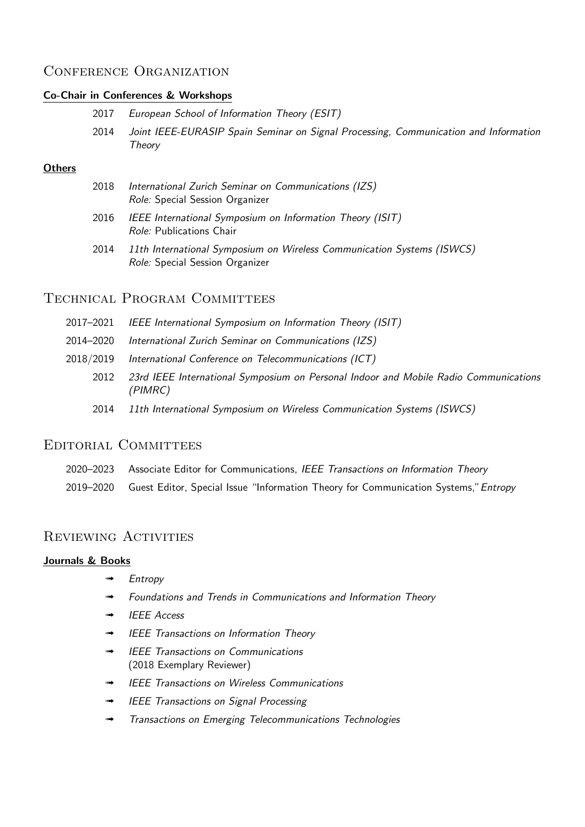## CONFERENCE ORGANIZATION

### Co-Chair in Conferences & Workshops

|  |  |  |  | 2017 European School of Information Theory (ESIT) |  |  |  |
|--|--|--|--|---------------------------------------------------|--|--|--|
|--|--|--|--|---------------------------------------------------|--|--|--|

2014 Joint IEEE-EURASIP Spain Seminar on Signal Processing, Communication and Information **Theory** 

#### **Others**

| 2018 | International Zurich Seminar on Communications (IZS) |
|------|------------------------------------------------------|
|      | <i>Role:</i> Special Session Organizer               |

- 2016 IEEE International Symposium on Information Theory (ISIT) Role: Publications Chair
- 2014 11th International Symposium on Wireless Communication Systems (ISWCS) Role: Special Session Organizer

## Technical Program Committees

- 2017–2021 IEEE International Symposium on Information Theory (ISIT)
- 2014–2020 International Zurich Seminar on Communications (IZS)
- 2018/2019 International Conference on Telecommunications (ICT)
	- 2012 23rd IEEE International Symposium on Personal Indoor and Mobile Radio Communications (PIMRC)
	- 2014 11th International Symposium on Wireless Communication Systems (ISWCS)

## EDITORIAL COMMITTEES

- 2020–2023 Associate Editor for Communications, IEEE Transactions on Information Theory
- 2019–2020 Guest Editor, Special Issue "Information Theory for Communication Systems," Entropy

## REVIEWING ACTIVITIES

#### Journals & Books

- **Entropy**
- ➟ Foundations and Trends in Communications and Information Theory
- ➟ IEEE Access
- ➟ IEEE Transactions on Information Theory
- **IEEE Transactions on Communications** (2018 Exemplary Reviewer)
- ➟ IEEE Transactions on Wireless Communications
- ➟ IEEE Transactions on Signal Processing
- ➟ Transactions on Emerging Telecommunications Technologies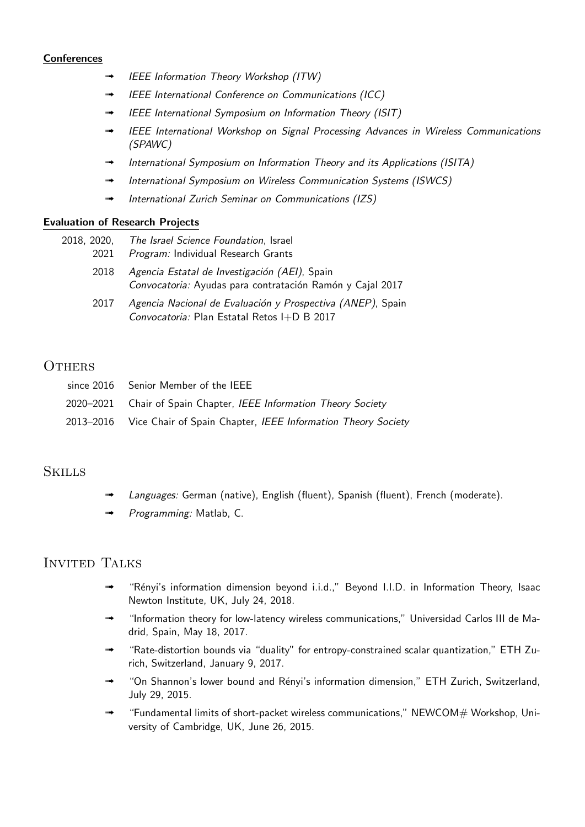#### **Conferences**

- ➟ IEEE Information Theory Workshop (ITW)
- ➟ IEEE International Conference on Communications (ICC)
- IEEE International Symposium on Information Theory (ISIT)
- IEEE International Workshop on Signal Processing Advances in Wireless Communications (SPAWC)
- International Symposium on Information Theory and its Applications (ISITA)
- International Symposium on Wireless Communication Systems (ISWCS)
- International Zurich Seminar on Communications (IZS)

#### Evaluation of Research Projects

| 2018, 2020, The Israel Science Foundation, Israel |
|---------------------------------------------------|
| 2021 Program: Individual Research Grants          |
| 2018 Agoncia Estatal de Investigación (AEI) Spai  |

- 2018 Agencia Estatal de Investigación (AEI), Spain Convocatoria: Ayudas para contratación Ramón y Cajal 2017
- 2017 Agencia Nacional de Evaluación y Prospectiva (ANEP), Spain Convocatoria: Plan Estatal Retos I+D B 2017

### **OTHERS**

| since 2016 Senior Member of the IEEE                                   |
|------------------------------------------------------------------------|
| 2020-2021 Chair of Spain Chapter, IEEE Information Theory Society      |
| 2013-2016 Vice Chair of Spain Chapter, IEEE Information Theory Society |

### **SKILLS**

- Languages: German (native), English (fluent), Spanish (fluent), French (moderate).
- Programming: Matlab, C.

### Invited Talks

- ➟ "R´enyi's information dimension beyond i.i.d.," Beyond I.I.D. in Information Theory, Isaac Newton Institute, UK, July 24, 2018.
- ➟ "Information theory for low-latency wireless communications," Universidad Carlos III de Madrid, Spain, May 18, 2017.
- ➟ "Rate-distortion bounds via "duality" for entropy-constrained scalar quantization," ETH Zurich, Switzerland, January 9, 2017.
- "On Shannon's lower bound and Rényi's information dimension," ETH Zurich, Switzerland, July 29, 2015.
- ➟ "Fundamental limits of short-packet wireless communications," NEWCOM# Workshop, University of Cambridge, UK, June 26, 2015.